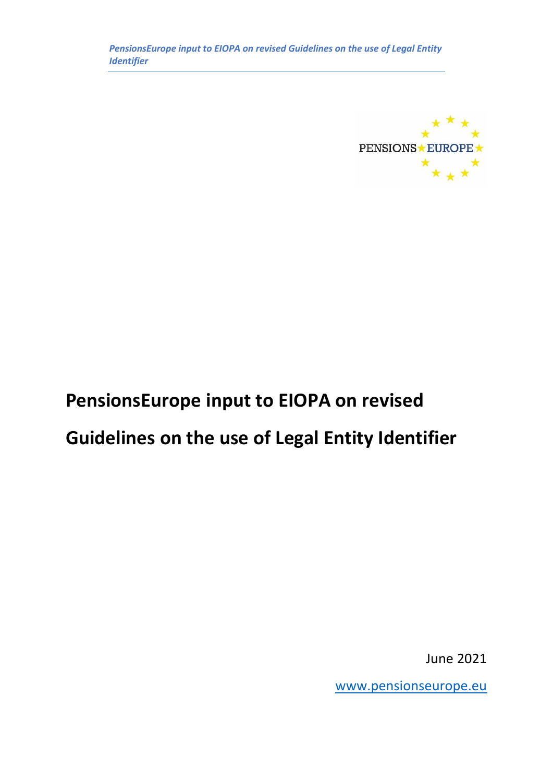*PensionsEurope input to EIOPA on revised Guidelines on the use of Legal Entity Identifier*



# **PensionsEurope input to EIOPA on revised Guidelines on the use of Legal Entity Identifier**

June 2021

[www.pensionseurope.eu](http://www.pensionseurope.eu/)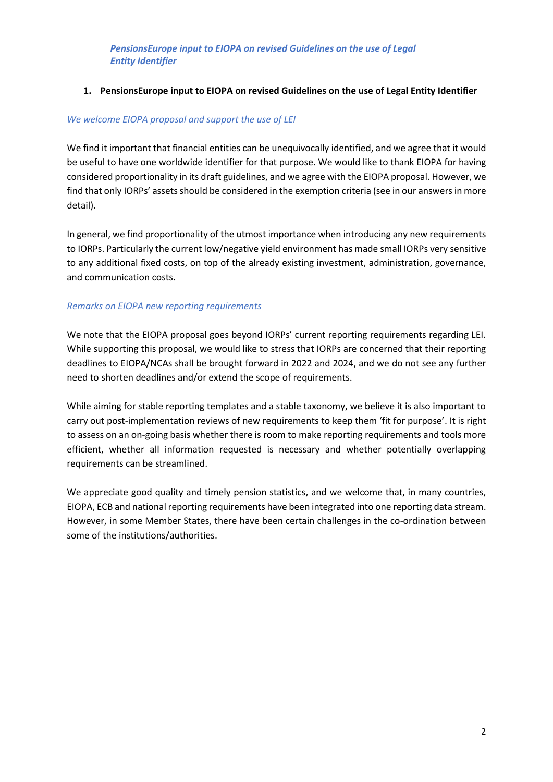# **1. PensionsEurope input to EIOPA on revised Guidelines on the use of Legal Entity Identifier**

# *We welcome EIOPA proposal and support the use of LEI*

We find it important that financial entities can be unequivocally identified, and we agree that it would be useful to have one worldwide identifier for that purpose. We would like to thank EIOPA for having considered proportionality in its draft guidelines, and we agree with the EIOPA proposal. However, we find that only IORPs' assets should be considered in the exemption criteria (see in our answers in more detail).

In general, we find proportionality of the utmost importance when introducing any new requirements to IORPs. Particularly the current low/negative yield environment has made small IORPs very sensitive to any additional fixed costs, on top of the already existing investment, administration, governance, and communication costs.

# *Remarks on EIOPA new reporting requirements*

We note that the EIOPA proposal goes beyond IORPs' current reporting requirements regarding LEI. While supporting this proposal, we would like to stress that IORPs are concerned that their reporting deadlines to EIOPA/NCAs shall be brought forward in 2022 and 2024, and we do not see any further need to shorten deadlines and/or extend the scope of requirements.

While aiming for stable reporting templates and a stable taxonomy, we believe it is also important to carry out post-implementation reviews of new requirements to keep them 'fit for purpose'. It is right to assess on an on-going basis whether there is room to make reporting requirements and tools more efficient, whether all information requested is necessary and whether potentially overlapping requirements can be streamlined.

We appreciate good quality and timely pension statistics, and we welcome that, in many countries, EIOPA, ECB and national reporting requirements have been integrated into one reporting data stream. However, in some Member States, there have been certain challenges in the co-ordination between some of the institutions/authorities.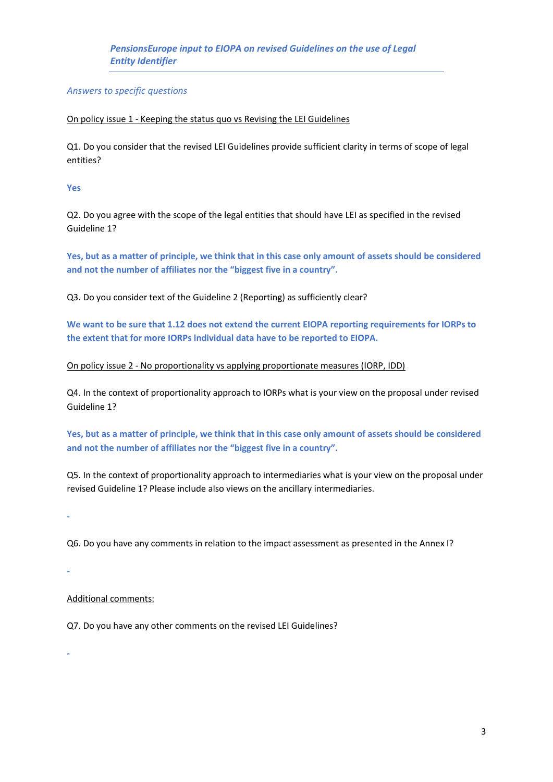*Answers to specific questions*

#### On policy issue 1 - Keeping the status quo vs Revising the LEI Guidelines

Q1. Do you consider that the revised LEI Guidelines provide sufficient clarity in terms of scope of legal entities?

### **Yes**

Q2. Do you agree with the scope of the legal entities that should have LEI as specified in the revised Guideline 1?

**Yes, but as a matter of principle, we think that in this case only amount of assets should be considered and not the number of affiliates nor the "biggest five in a country".**

Q3. Do you consider text of the Guideline 2 (Reporting) as sufficiently clear?

**We want to be sure that 1.12 does not extend the current EIOPA reporting requirements for IORPs to the extent that for more IORPs individual data have to be reported to EIOPA.**

### On policy issue 2 - No proportionality vs applying proportionate measures (IORP, IDD)

Q4. In the context of proportionality approach to IORPs what is your view on the proposal under revised Guideline 1?

**Yes, but as a matter of principle, we think that in this case only amount of assets should be considered and not the number of affiliates nor the "biggest five in a country".**

Q5. In the context of proportionality approach to intermediaries what is your view on the proposal under revised Guideline 1? Please include also views on the ancillary intermediaries.

**-**

Q6. Do you have any comments in relation to the impact assessment as presented in the Annex I?

**-**

**-**

# Additional comments:

Q7. Do you have any other comments on the revised LEI Guidelines?